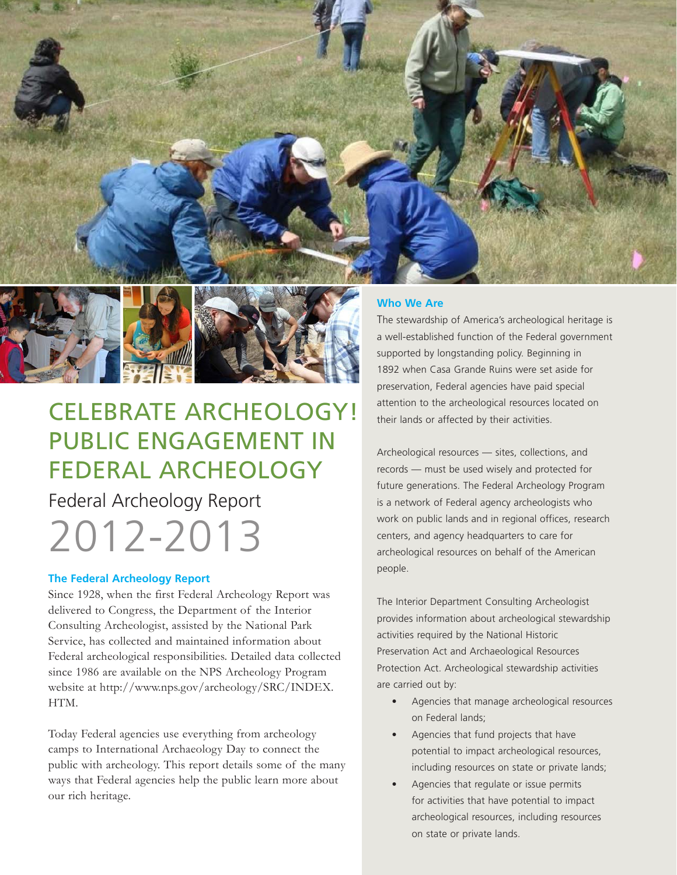



# CELEBRATE ARCHEOLOGY! PUBLIC ENGAGEMENT IN FEDERAL ARCHEOLOGY

Federal Archeology Report 2012-2013

## **The Federal Archeology Report**

Since 1928, when the first Federal Archeology Report was delivered to Congress, the Department of the Interior Consulting Archeologist, assisted by the National Park Service, has collected and maintained information about Federal archeological responsibilities. Detailed data collected since 1986 are available on the NPS Archeology Program website at http://www.nps.gov/archeology/SRC/INDEX. HTM.

Today Federal agencies use everything from archeology camps to International Archaeology Day to connect the public with archeology. This report details some of the many ways that Federal agencies help the public learn more about our rich heritage.

## **Who We Are**

The stewardship of America's archeological heritage is a well-established function of the Federal government supported by longstanding policy. Beginning in 1892 when Casa Grande Ruins were set aside for preservation, Federal agencies have paid special attention to the archeological resources located on their lands or affected by their activities.

Archeological resources — sites, collections, and records — must be used wisely and protected for future generations. The Federal Archeology Program is a network of Federal agency archeologists who work on public lands and in regional offices, research centers, and agency headquarters to care for archeological resources on behalf of the American people.

The Interior Department Consulting Archeologist provides information about archeological stewardship activities required by the National Historic Preservation Act and Archaeological Resources Protection Act. Archeological stewardship activities are carried out by:

- Agencies that manage archeological resources on Federal lands;
- Agencies that fund projects that have potential to impact archeological resources, including resources on state or private lands;
- Agencies that regulate or issue permits for activities that have potential to impact archeological resources, including resources on state or private lands.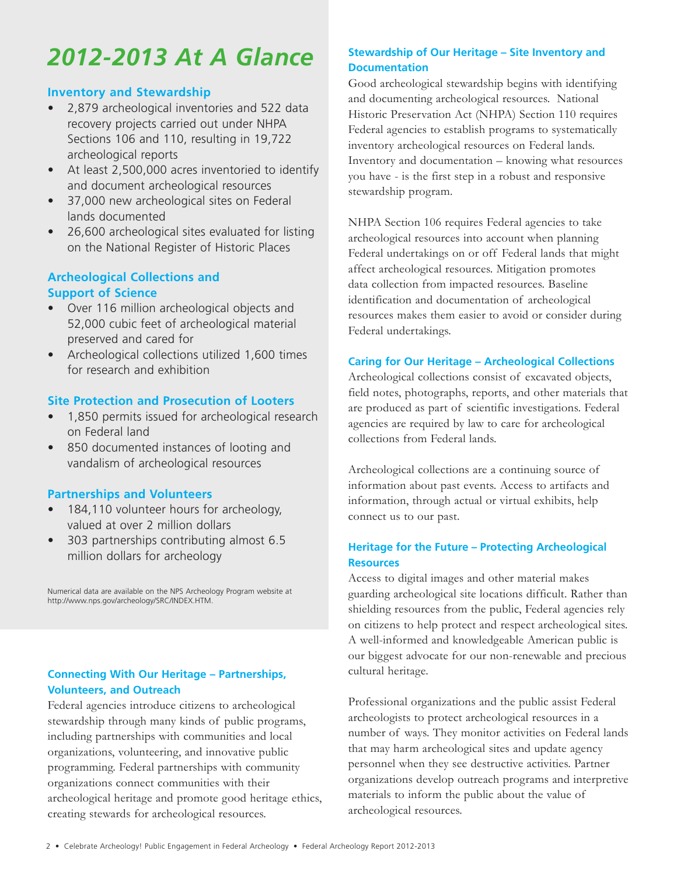# *2012-2013 At A Glance*

## **Inventory and Stewardship**

- • 2,879 archeological inventories and 522 data recovery projects carried out under NHPA Sections 106 and 110, resulting in 19,722 archeological reports
- • At least 2,500,000 acres inventoried to identify and document archeological resources
- 37,000 new archeological sites on Federal lands documented
- 26,600 archeological sites evaluated for listing on the National Register of Historic Places

## **Archeological Collections and Support of Science**

- • Over 116 million archeological objects and 52,000 cubic feet of archeological material preserved and cared for
- Archeological collections utilized 1,600 times for research and exhibition

## **Site Protection and Prosecution of Looters**

- 1,850 permits issued for archeological research on Federal land
- • 850 documented instances of looting and vandalism of archeological resources

## **Partnerships and Volunteers**

- 184,110 volunteer hours for archeology, valued at over 2 million dollars
- 303 partnerships contributing almost 6.5 million dollars for archeology

Numerical data are available on the NPS Archeology Program website at http://www.nps.gov/archeology/SRC/INDEX.HTM.

## **Connecting With Our Heritage – Partnerships, Volunteers, and Outreach**

Federal agencies introduce citizens to archeological stewardship through many kinds of public programs, including partnerships with communities and local organizations, volunteering, and innovative public programming. Federal partnerships with community organizations connect communities with their archeological heritage and promote good heritage ethics, creating stewards for archeological resources.

## **Stewardship of Our Heritage – Site Inventory and Documentation**

Good archeological stewardship begins with identifying and documenting archeological resources. National Historic Preservation Act (NHPA) Section 110 requires Federal agencies to establish programs to systematically inventory archeological resources on Federal lands. Inventory and documentation – knowing what resources you have - is the first step in a robust and responsive stewardship program.

NHPA Section 106 requires Federal agencies to take archeological resources into account when planning Federal undertakings on or off Federal lands that might affect archeological resources. Mitigation promotes data collection from impacted resources. Baseline identification and documentation of archeological resources makes them easier to avoid or consider during Federal undertakings.

## **Caring for Our Heritage – Archeological Collections**

Archeological collections consist of excavated objects, field notes, photographs, reports, and other materials that are produced as part of scientific investigations. Federal agencies are required by law to care for archeological collections from Federal lands.

Archeological collections are a continuing source of information about past events. Access to artifacts and information, through actual or virtual exhibits, help connect us to our past.

## **Heritage for the Future – Protecting Archeological Resources**

Access to digital images and other material makes guarding archeological site locations difficult. Rather than shielding resources from the public, Federal agencies rely on citizens to help protect and respect archeological sites. A well-informed and knowledgeable American public is our biggest advocate for our non-renewable and precious cultural heritage.

Professional organizations and the public assist Federal archeologists to protect archeological resources in a number of ways. They monitor activities on Federal lands that may harm archeological sites and update agency personnel when they see destructive activities. Partner organizations develop outreach programs and interpretive materials to inform the public about the value of archeological resources.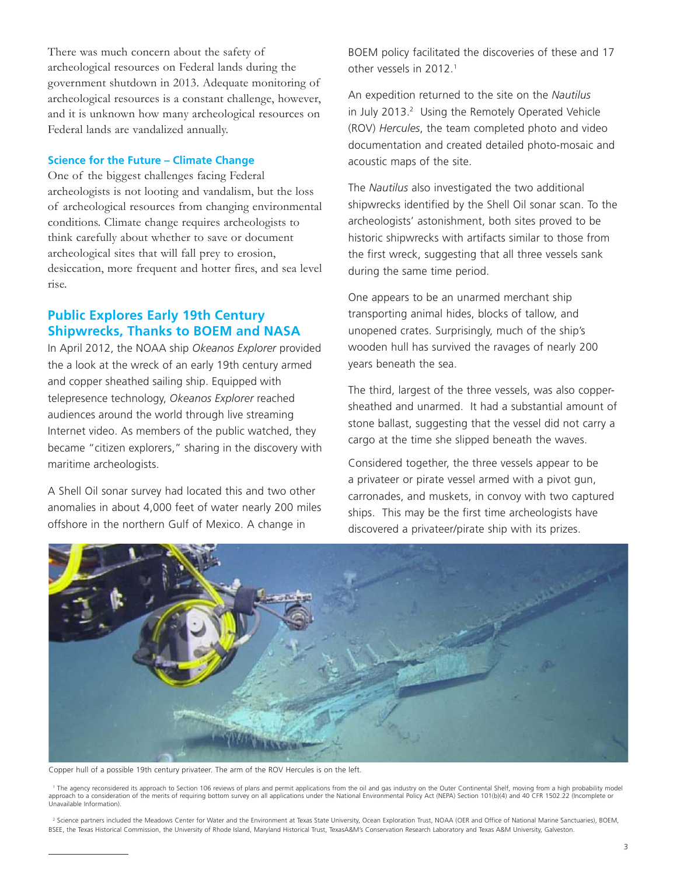There was much concern about the safety of archeological resources on Federal lands during the government shutdown in 2013. Adequate monitoring of archeological resources is a constant challenge, however, and it is unknown how many archeological resources on Federal lands are vandalized annually.

#### **Science for the Future – Climate Change**

One of the biggest challenges facing Federal archeologists is not looting and vandalism, but the loss of archeological resources from changing environmental conditions. Climate change requires archeologists to think carefully about whether to save or document archeological sites that will fall prey to erosion, desiccation, more frequent and hotter fires, and sea level rise.

## **Public Explores Early 19th Century Shipwrecks, Thanks to BOEM and NASA**

In April 2012, the NOAA ship *Okeanos Explorer* provided the a look at the wreck of an early 19th century armed and copper sheathed sailing ship. Equipped with telepresence technology, *Okeanos Explorer* reached audiences around the world through live streaming Internet video. As members of the public watched, they became "citizen explorers," sharing in the discovery with maritime archeologists.

A Shell Oil sonar survey had located this and two other anomalies in about 4,000 feet of water nearly 200 miles offshore in the northern Gulf of Mexico. A change in

BOEM policy facilitated the discoveries of these and 17 other vessels in 2012.1

An expedition returned to the site on the *Nautilus*  in July 2013.<sup>2</sup> Using the Remotely Operated Vehicle (ROV) *Hercules*, the team completed photo and video documentation and created detailed photo-mosaic and acoustic maps of the site.

The *Nautilus* also investigated the two additional shipwrecks identified by the Shell Oil sonar scan. To the archeologists' astonishment, both sites proved to be historic shipwrecks with artifacts similar to those from the first wreck, suggesting that all three vessels sank during the same time period.

One appears to be an unarmed merchant ship transporting animal hides, blocks of tallow, and unopened crates. Surprisingly, much of the ship's wooden hull has survived the ravages of nearly 200 years beneath the sea.

The third, largest of the three vessels, was also coppersheathed and unarmed. It had a substantial amount of stone ballast, suggesting that the vessel did not carry a cargo at the time she slipped beneath the waves.

Considered together, the three vessels appear to be a privateer or pirate vessel armed with a pivot gun, carronades, and muskets, in convoy with two captured ships. This may be the first time archeologists have discovered a privateer/pirate ship with its prizes.



Copper hull of a possible 19th century privateer. The arm of the ROV Hercules is on the left.

<sup>1</sup> The agency reconsidered its approach to Section 106 reviews of plans and permit applications from the oil and gas industry on the Outer Continental Shelf, moving from a high probability model approach to a consideration of the merits of requiring bottom survey on all applications under the National Environmental Policy Act (NEPA) Section 101(b)(4) and 40 CFR 1502.22 (Incomplete or Unavailable Information).

<sup>2</sup> Science partners included the Meadows Center for Water and the Environment at Texas State University, Ocean Exploration Trust, NOAA (OER and Office of National Marine Sanctuaries), BOEM, BSEE, the Texas Historical Commission, the University of Rhode Island, Maryland Historical Trust, TexasA&M's Conservation Research Laboratory and Texas A&M University, Galveston.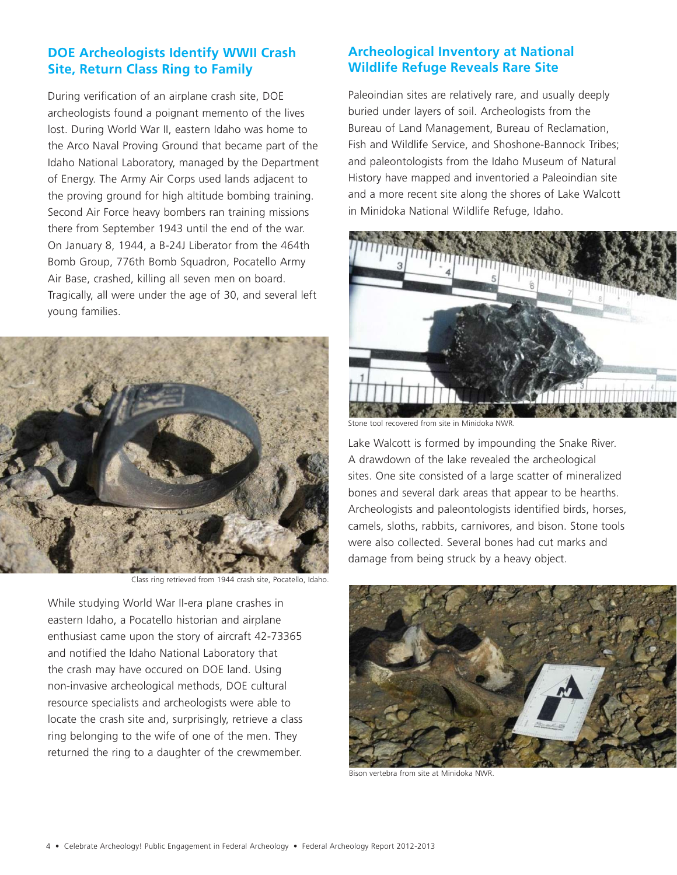# **DOE Archeologists Identify WWII Crash Site, Return Class Ring to Family**

During verification of an airplane crash site, DOE archeologists found a poignant memento of the lives lost. During World War II, eastern Idaho was home to the Arco Naval Proving Ground that became part of the Idaho National Laboratory, managed by the Department of Energy. The Army Air Corps used lands adjacent to the proving ground for high altitude bombing training. Second Air Force heavy bombers ran training missions there from September 1943 until the end of the war. On January 8, 1944, a B-24J Liberator from the 464th Bomb Group, 776th Bomb Squadron, Pocatello Army Air Base, crashed, killing all seven men on board. Tragically, all were under the age of 30, and several left young families.



Class ring retrieved from 1944 crash site, Pocatello, Idaho.

While studying World War II-era plane crashes in eastern Idaho, a Pocatello historian and airplane enthusiast came upon the story of aircraft 42-73365 and notified the Idaho National Laboratory that the crash may have occured on DOE land. Using non-invasive archeological methods, DOE cultural resource specialists and archeologists were able to locate the crash site and, surprisingly, retrieve a class ring belonging to the wife of one of the men. They returned the ring to a daughter of the crewmember.

# **Archeological Inventory at National Wildlife Refuge Reveals Rare Site**

Paleoindian sites are relatively rare, and usually deeply buried under layers of soil. Archeologists from the Bureau of Land Management, Bureau of Reclamation, Fish and Wildlife Service, and Shoshone-Bannock Tribes; and paleontologists from the Idaho Museum of Natural History have mapped and inventoried a Paleoindian site and a more recent site along the shores of Lake Walcott in Minidoka National Wildlife Refuge, Idaho.



Stone tool recovered from site in Minidoka NWR.

Lake Walcott is formed by impounding the Snake River. A drawdown of the lake revealed the archeological sites. One site consisted of a large scatter of mineralized bones and several dark areas that appear to be hearths. Archeologists and paleontologists identified birds, horses, camels, sloths, rabbits, carnivores, and bison. Stone tools were also collected. Several bones had cut marks and damage from being struck by a heavy object.



Bison vertebra from site at Minidoka NWR.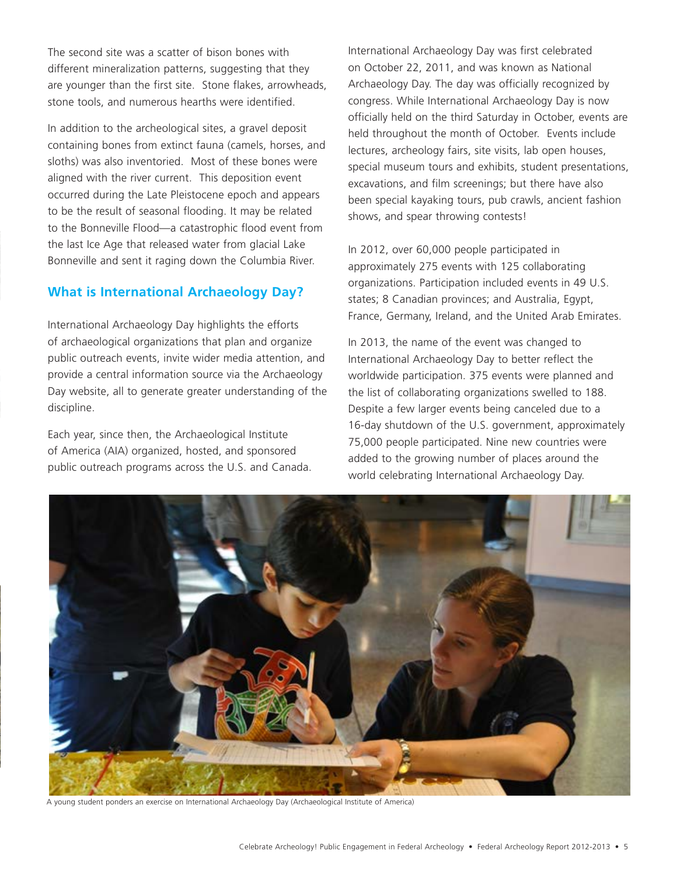The second site was a scatter of bison bones with different mineralization patterns, suggesting that they are younger than the first site. Stone flakes, arrowheads, stone tools, and numerous hearths were identified.

In addition to the archeological sites, a gravel deposit containing bones from extinct fauna (camels, horses, and sloths) was also inventoried. Most of these bones were aligned with the river current. This deposition event occurred during the Late Pleistocene epoch and appears to be the result of seasonal flooding. It may be related to the Bonneville Flood—a catastrophic flood event from the last Ice Age that released water from glacial Lake Bonneville and sent it raging down the Columbia River.

# **What is International Archaeology Day?**

International Archaeology Day highlights the efforts of archaeological organizations that plan and organize public outreach events, invite wider media attention, and provide a central information source via the Archaeology Day website, all to generate greater understanding of the discipline.

Each year, since then, the Archaeological Institute of America (AIA) organized, hosted, and sponsored public outreach programs across the U.S. and Canada. International Archaeology Day was first celebrated on October 22, 2011, and was known as National Archaeology Day. The day was officially recognized by congress. While International Archaeology Day is now officially held on the third Saturday in October, events are held throughout the month of October. Events include lectures, archeology fairs, site visits, lab open houses, special museum tours and exhibits, student presentations, excavations, and film screenings; but there have also been special kayaking tours, pub crawls, ancient fashion shows, and spear throwing contests!

In 2012, over 60,000 people participated in approximately 275 events with 125 collaborating organizations. Participation included events in 49 U.S. states; 8 Canadian provinces; and Australia, Egypt, France, Germany, Ireland, and the United Arab Emirates.

In 2013, the name of the event was changed to International Archaeology Day to better reflect the worldwide participation. 375 events were planned and the list of collaborating organizations swelled to 188. Despite a few larger events being canceled due to a 16-day shutdown of the U.S. government, approximately 75,000 people participated. Nine new countries were added to the growing number of places around the world celebrating International Archaeology Day.



A young student ponders an exercise on International Archaeology Day (Archaeological Institute of America)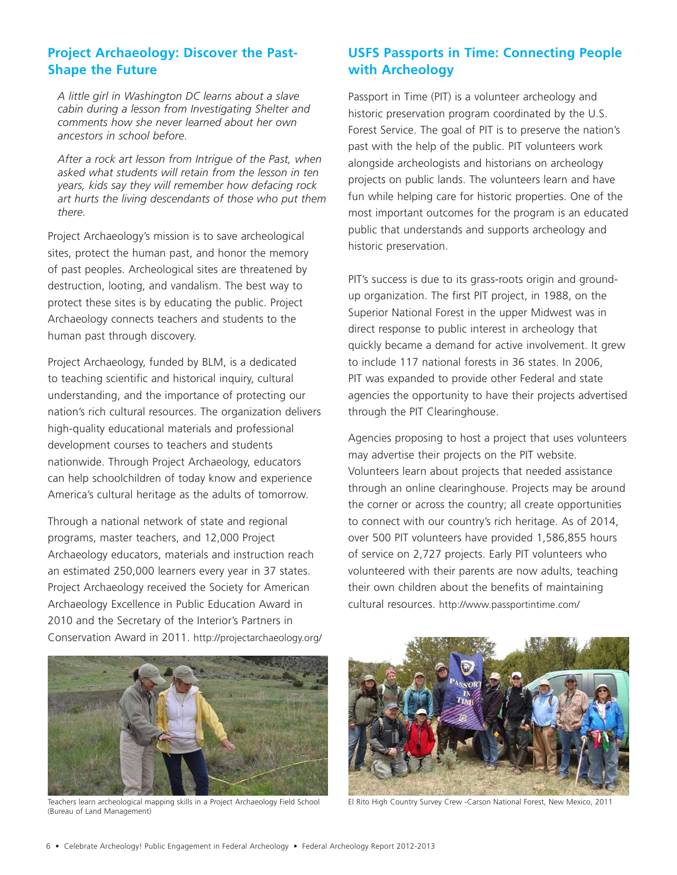# **Project Archaeology: Discover the Past-Shape the Future**

*A little girl in Washington DC learns about a slave cabin during a lesson from Investigating Shelter and comments how she never learned about her own ancestors in school before.*

*After a rock art lesson from Intrigue of the Past, when asked what students will retain from the lesson in ten years, kids say they will remember how defacing rock art hurts the living descendants of those who put them there.*

Project Archaeology's mission is to save archeological sites, protect the human past, and honor the memory of past peoples. Archeological sites are threatened by destruction, looting, and vandalism. The best way to protect these sites is by educating the public. Project Archaeology connects teachers and students to the human past through discovery.

Project Archaeology, funded by BLM, is a dedicated to teaching scientific and historical inquiry, cultural understanding, and the importance of protecting our nation's rich cultural resources. The organization delivers high-quality educational materials and professional development courses to teachers and students nationwide. Through Project Archaeology, educators can help schoolchildren of today know and experience America's cultural heritage as the adults of tomorrow.

Through a national network of state and regional programs, master teachers, and 12,000 Project Archaeology educators, materials and instruction reach an estimated 250,000 learners every year in 37 states. Project Archaeology received the Society for American Archaeology Excellence in Public Education Award in 2010 and the Secretary of the Interior's Partners in Conservation Award in 2011. http://projectarchaeology.org/

# **USFS Passports in Time: Connecting People with Archeology**

Passport in Time (PIT) is a volunteer archeology and historic preservation program coordinated by the U.S. Forest Service. The goal of PIT is to preserve the nation's past with the help of the public. PIT volunteers work alongside archeologists and historians on archeology projects on public lands. The volunteers learn and have fun while helping care for historic properties. One of the most important outcomes for the program is an educated public that understands and supports archeology and historic preservation.

PIT's success is due to its grass-roots origin and groundup organization. The first PIT project, in 1988, on the Superior National Forest in the upper Midwest was in direct response to public interest in archeology that quickly became a demand for active involvement. It grew to include 117 national forests in 36 states. In 2006, PIT was expanded to provide other Federal and state agencies the opportunity to have their projects advertised through the PIT Clearinghouse.

Agencies proposing to host a project that uses volunteers may advertise their projects on the PIT website. Volunteers learn about projects that needed assistance through an online clearinghouse. Projects may be around the corner or across the country; all create opportunities to connect with our country's rich heritage. As of 2014, over 500 PIT volunteers have provided 1,586,855 hours of service on 2,727 projects. Early PIT volunteers who volunteered with their parents are now adults, teaching their own children about the benefits of maintaining cultural resources. http://www.passportintime.com/



Teachers learn archeological mapping skills in a Project Archaeology Field School El Rito High Country Survey Crew -Carson National Forest, New Mexico, 2011 (Bureau of Land Management)

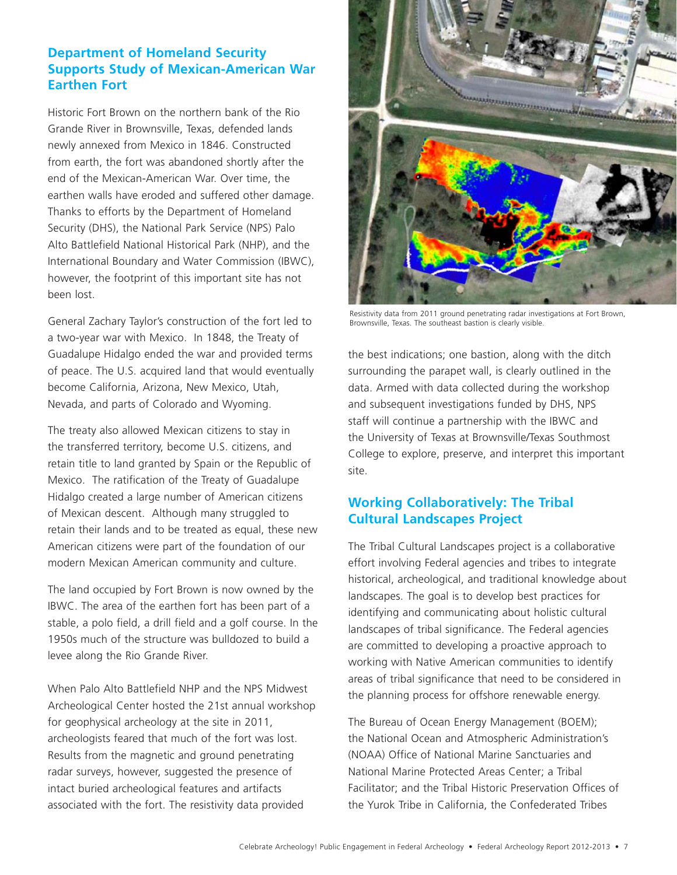# **Department of Homeland Security Supports Study of Mexican-American War Earthen Fort**

Historic Fort Brown on the northern bank of the Rio Grande River in Brownsville, Texas, defended lands newly annexed from Mexico in 1846. Constructed from earth, the fort was abandoned shortly after the end of the Mexican-American War. Over time, the earthen walls have eroded and suffered other damage. Thanks to efforts by the Department of Homeland Security (DHS), the National Park Service (NPS) Palo Alto Battlefield National Historical Park (NHP), and the International Boundary and Water Commission (IBWC), however, the footprint of this important site has not been lost.

General Zachary Taylor's construction of the fort led to a two-year war with Mexico. In 1848, the Treaty of Guadalupe Hidalgo ended the war and provided terms of peace. The U.S. acquired land that would eventually become California, Arizona, New Mexico, Utah, Nevada, and parts of Colorado and Wyoming.

The treaty also allowed Mexican citizens to stay in the transferred territory, become U.S. citizens, and retain title to land granted by Spain or the Republic of Mexico. The ratification of the Treaty of Guadalupe Hidalgo created a large number of American citizens of Mexican descent. Although many struggled to retain their lands and to be treated as equal, these new American citizens were part of the foundation of our modern Mexican American community and culture.

The land occupied by Fort Brown is now owned by the IBWC. The area of the earthen fort has been part of a stable, a polo field, a drill field and a golf course. In the 1950s much of the structure was bulldozed to build a levee along the Rio Grande River.

When Palo Alto Battlefield NHP and the NPS Midwest Archeological Center hosted the 21st annual workshop for geophysical archeology at the site in 2011, archeologists feared that much of the fort was lost. Results from the magnetic and ground penetrating radar surveys, however, suggested the presence of intact buried archeological features and artifacts associated with the fort. The resistivity data provided



Resistivity data from 2011 ground penetrating radar investigations at Fort Brown, Brownsville, Texas. The southeast bastion is clearly visible.

the best indications; one bastion, along with the ditch surrounding the parapet wall, is clearly outlined in the data. Armed with data collected during the workshop and subsequent investigations funded by DHS, NPS staff will continue a partnership with the IBWC and the University of Texas at Brownsville/Texas Southmost College to explore, preserve, and interpret this important site.

# **Working Collaboratively: The Tribal Cultural Landscapes Project**

The Tribal Cultural Landscapes project is a collaborative effort involving Federal agencies and tribes to integrate historical, archeological, and traditional knowledge about landscapes. The goal is to develop best practices for identifying and communicating about holistic cultural landscapes of tribal significance. The Federal agencies are committed to developing a proactive approach to working with Native American communities to identify areas of tribal significance that need to be considered in the planning process for offshore renewable energy.

The Bureau of Ocean Energy Management (BOEM); the National Ocean and Atmospheric Administration's (NOAA) Office of National Marine Sanctuaries and National Marine Protected Areas Center; a Tribal Facilitator; and the Tribal Historic Preservation Offices of the Yurok Tribe in California, the Confederated Tribes